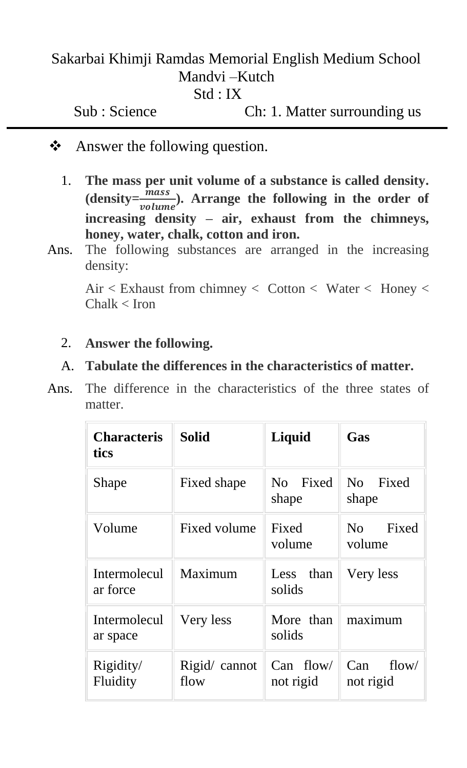# Sakarbai Khimji Ramdas Memorial English Medium School Mandvi –Kutch Std : IX

Sub : Science Ch: 1. Matter surrounding us

- ❖ Answer the following question.
	- 1. **The mass per unit volume of a substance is called density.**  (density= $\frac{\bar{m} \text{ } \text{ }a \text{ } \text{ }s}{\text{ } \text{ }v \text{ }o \text{ } \text{ }l \text{ } \text{ }m \text{ }e}$ ). Arrange the following in the order of **increasing density – air, exhaust from the chimneys, honey, water, chalk, cotton and iron.**
- Ans. The following substances are arranged in the increasing density:

Air < Exhaust from chimney < Cotton < Water < Honey <  $Chalk < I$ ron

### 2. **Answer the following.**

### A. **Tabulate the differences in the characteristics of matter.**

Ans. The difference in the characteristics of the three states of matter.

| <b>Characteris</b><br>tics      | <b>Solid</b>          | Liquid                   | Gas                              |
|---------------------------------|-----------------------|--------------------------|----------------------------------|
| <b>Shape</b>                    | Fixed shape           | No Fixed<br>shape        | Fixed<br>N <sub>o</sub><br>shape |
| Volume                          | Fixed volume          | Fixed<br>volume          | Fixed<br>No<br>volume            |
| Intermolecul<br>ar force        | Maximum               | than<br>Less<br>solids   | Very less                        |
| <b>Intermolecul</b><br>ar space | Very less             | More than<br>solids      | maximum                          |
| Rigidity/<br>Fluidity           | Rigid/ cannot<br>flow | $Can$ flow/<br>not rigid | Can<br>flow/<br>not rigid        |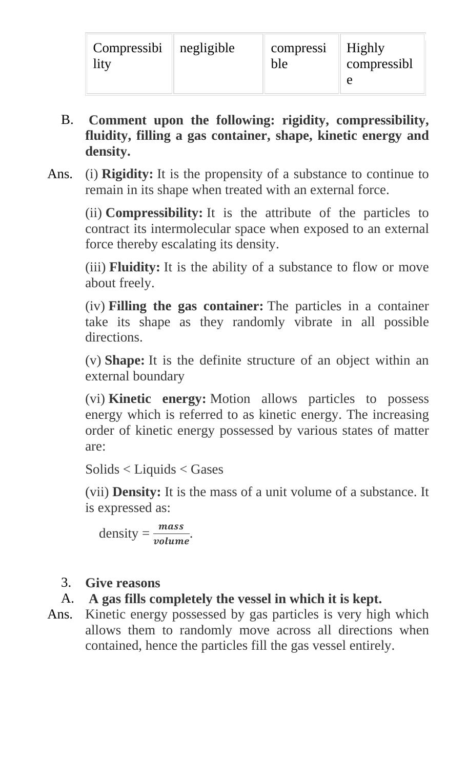| $Compressibi$    negligible<br>lity | compressi    Highly<br>ble | compressibl |
|-------------------------------------|----------------------------|-------------|
|                                     |                            |             |

- B. **Comment upon the following: rigidity, compressibility, fluidity, filling a gas container, shape, kinetic energy and density.**
- Ans. (i) **Rigidity:** It is the propensity of a substance to continue to remain in its shape when treated with an external force.

(ii) **Compressibility:** It is the attribute of the particles to contract its intermolecular space when exposed to an external force thereby escalating its density.

(iii) **Fluidity:** It is the ability of a substance to flow or move about freely.

(iv) **Filling the gas container:** The particles in a container take its shape as they randomly vibrate in all possible directions.

(v) **Shape:** It is the definite structure of an object within an external boundary

(vi) **Kinetic energy:** Motion allows particles to possess energy which is referred to as kinetic energy. The increasing order of kinetic energy possessed by various states of matter are:

Solids < Liquids < Gases

(vii) **Density:** It is the mass of a unit volume of a substance. It is expressed as:

$$
density = \frac{mass}{volume}.
$$

# 3. **Give reasons**

# A. **A gas fills completely the vessel in which it is kept.**

Ans. Kinetic energy possessed by gas particles is very high which allows them to randomly move across all directions when contained, hence the particles fill the gas vessel entirely.